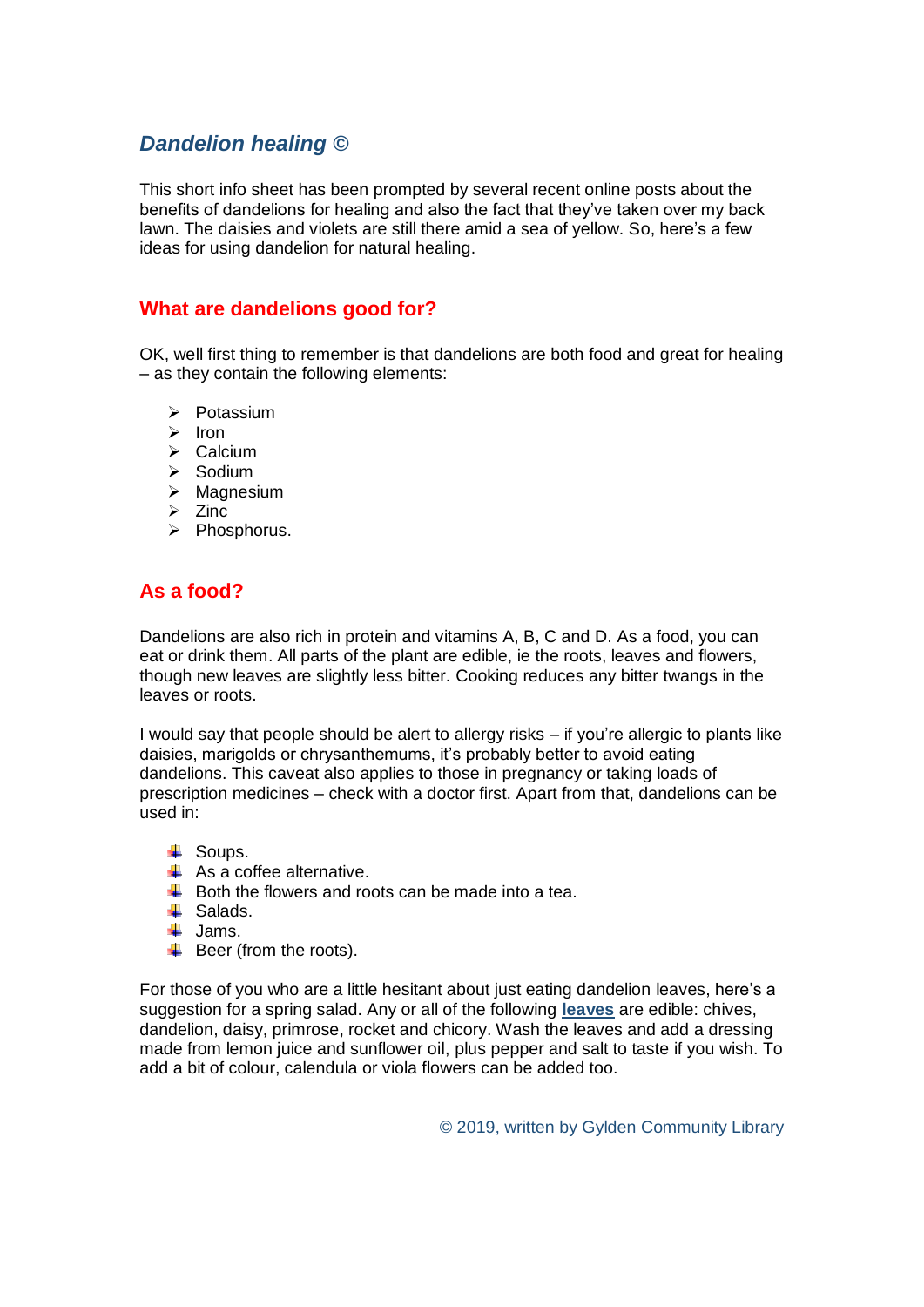## *Dandelion healing ©*

This short info sheet has been prompted by several recent online posts about the benefits of dandelions for healing and also the fact that they've taken over my back lawn. The daisies and violets are still there amid a sea of yellow. So, here's a few ideas for using dandelion for natural healing.

## **What are dandelions good for?**

OK, well first thing to remember is that dandelions are both food and great for healing – as they contain the following elements:

- ➢ Potassium
- ➢ Iron
- ➢ Calcium
- ➢ Sodium
- ➢ Magnesium
- ➢ Zinc
- ➢ Phosphorus.

## **As a food?**

Dandelions are also rich in protein and vitamins A, B, C and D. As a food, you can eat or drink them. All parts of the plant are edible, ie the roots, leaves and flowers, though new leaves are slightly less bitter. Cooking reduces any bitter twangs in the leaves or roots.

I would say that people should be alert to allergy risks – if you're allergic to plants like daisies, marigolds or chrysanthemums, it's probably better to avoid eating dandelions. This caveat also applies to those in pregnancy or taking loads of prescription medicines – check with a doctor first. Apart from that, dandelions can be used in:

- $\ddot{\bullet}$  Soups.
- $\overline{\text{+}}$  As a coffee alternative.
- $\overline{\textbf{B}}$  Both the flowers and roots can be made into a tea.
- $\overline{\phantom{a}}$  Salads.
- $\downarrow$  Jams.
- $\overline{\phantom{a}}$  Beer (from the roots).

For those of you who are a little hesitant about just eating dandelion leaves, here's a suggestion for a spring salad. Any or all of the following **leaves** are edible: chives, dandelion, daisy, primrose, rocket and chicory. Wash the leaves and add a dressing made from lemon juice and sunflower oil, plus pepper and salt to taste if you wish. To add a bit of colour, calendula or viola flowers can be added too.